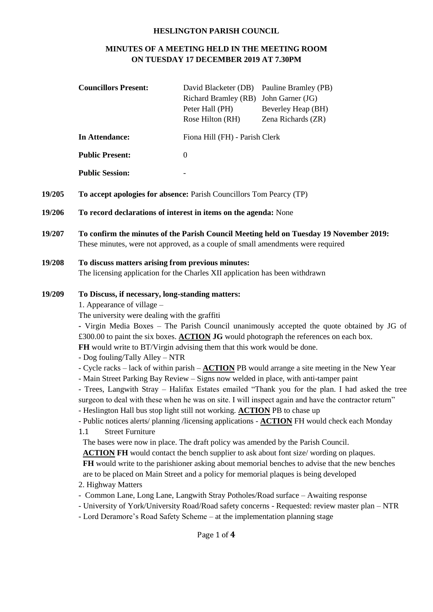#### **HESLINGTON PARISH COUNCIL**

# **MINUTES OF A MEETING HELD IN THE MEETING ROOM ON TUESDAY 17 DECEMBER 2019 AT 7.30PM**

|        | <b>Councillors Present:</b>                                                                                                                                                                                                                                                                                                                                                                                                                                                                                                                                                                                                                                                                                                                                                                                                                                                                                                                                                                                                                                                                                                                                                                                                                                                                                                                                                                                                                                                                                                                                                                                                                                                                                                                                               | David Blacketer (DB)<br>Richard Bramley (RB) John Garner (JG)<br>Peter Hall (PH)<br>Rose Hilton (RH) | Pauline Bramley (PB)<br>Beverley Heap (BH)<br>Zena Richards (ZR) |  |  |
|--------|---------------------------------------------------------------------------------------------------------------------------------------------------------------------------------------------------------------------------------------------------------------------------------------------------------------------------------------------------------------------------------------------------------------------------------------------------------------------------------------------------------------------------------------------------------------------------------------------------------------------------------------------------------------------------------------------------------------------------------------------------------------------------------------------------------------------------------------------------------------------------------------------------------------------------------------------------------------------------------------------------------------------------------------------------------------------------------------------------------------------------------------------------------------------------------------------------------------------------------------------------------------------------------------------------------------------------------------------------------------------------------------------------------------------------------------------------------------------------------------------------------------------------------------------------------------------------------------------------------------------------------------------------------------------------------------------------------------------------------------------------------------------------|------------------------------------------------------------------------------------------------------|------------------------------------------------------------------|--|--|
|        | <b>In Attendance:</b>                                                                                                                                                                                                                                                                                                                                                                                                                                                                                                                                                                                                                                                                                                                                                                                                                                                                                                                                                                                                                                                                                                                                                                                                                                                                                                                                                                                                                                                                                                                                                                                                                                                                                                                                                     | Fiona Hill (FH) - Parish Clerk                                                                       |                                                                  |  |  |
|        | <b>Public Present:</b>                                                                                                                                                                                                                                                                                                                                                                                                                                                                                                                                                                                                                                                                                                                                                                                                                                                                                                                                                                                                                                                                                                                                                                                                                                                                                                                                                                                                                                                                                                                                                                                                                                                                                                                                                    | $\overline{0}$                                                                                       |                                                                  |  |  |
|        | <b>Public Session:</b>                                                                                                                                                                                                                                                                                                                                                                                                                                                                                                                                                                                                                                                                                                                                                                                                                                                                                                                                                                                                                                                                                                                                                                                                                                                                                                                                                                                                                                                                                                                                                                                                                                                                                                                                                    |                                                                                                      |                                                                  |  |  |
| 19/205 | To accept apologies for absence: Parish Councillors Tom Pearcy (TP)                                                                                                                                                                                                                                                                                                                                                                                                                                                                                                                                                                                                                                                                                                                                                                                                                                                                                                                                                                                                                                                                                                                                                                                                                                                                                                                                                                                                                                                                                                                                                                                                                                                                                                       |                                                                                                      |                                                                  |  |  |
| 19/206 | To record declarations of interest in items on the agenda: None                                                                                                                                                                                                                                                                                                                                                                                                                                                                                                                                                                                                                                                                                                                                                                                                                                                                                                                                                                                                                                                                                                                                                                                                                                                                                                                                                                                                                                                                                                                                                                                                                                                                                                           |                                                                                                      |                                                                  |  |  |
| 19/207 | To confirm the minutes of the Parish Council Meeting held on Tuesday 19 November 2019:<br>These minutes, were not approved, as a couple of small amendments were required                                                                                                                                                                                                                                                                                                                                                                                                                                                                                                                                                                                                                                                                                                                                                                                                                                                                                                                                                                                                                                                                                                                                                                                                                                                                                                                                                                                                                                                                                                                                                                                                 |                                                                                                      |                                                                  |  |  |
| 19/208 | To discuss matters arising from previous minutes:<br>The licensing application for the Charles XII application has been withdrawn                                                                                                                                                                                                                                                                                                                                                                                                                                                                                                                                                                                                                                                                                                                                                                                                                                                                                                                                                                                                                                                                                                                                                                                                                                                                                                                                                                                                                                                                                                                                                                                                                                         |                                                                                                      |                                                                  |  |  |
| 19/209 | To Discuss, if necessary, long-standing matters:<br>1. Appearance of village –<br>The university were dealing with the graffiti<br>- Virgin Media Boxes - The Parish Council unanimously accepted the quote obtained by JG of<br>£300.00 to paint the six boxes. <b>ACTION JG</b> would photograph the references on each box.<br>FH would write to BT/Virgin advising them that this work would be done.<br>- Dog fouling/Tally Alley - NTR<br>- Cycle racks – lack of within parish – $\triangle C$ TION PB would arrange a site meeting in the New Year<br>- Main Street Parking Bay Review - Signs now welded in place, with anti-tamper paint<br>- Trees, Langwith Stray - Halifax Estates emailed "Thank you for the plan. I had asked the tree<br>surgeon to deal with these when he was on site. I will inspect again and have the contractor return"<br>- Heslington Hall bus stop light still not working. ACTION PB to chase up<br>- Public notices alerts/ planning /licensing applications - <b>ACTION</b> FH would check each Monday<br><b>Street Furniture</b><br>1.1<br>The bases were now in place. The draft policy was amended by the Parish Council.<br>ACTION FH would contact the bench supplier to ask about font size/ wording on plaques.<br>FH would write to the parishioner asking about memorial benches to advise that the new benches<br>are to be placed on Main Street and a policy for memorial plaques is being developed<br>2. Highway Matters<br>- Common Lane, Long Lane, Langwith Stray Potholes/Road surface - Awaiting response<br>- University of York/University Road/Road safety concerns - Requested: review master plan - NTR<br>- Lord Deramore's Road Safety Scheme - at the implementation planning stage<br>Page 1 of 4 |                                                                                                      |                                                                  |  |  |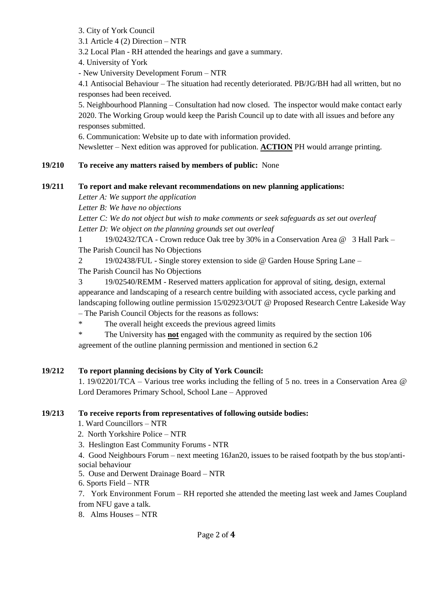3. City of York Council

3.1 Article 4 (2) Direction – NTR

3.2 Local Plan - RH attended the hearings and gave a summary.

4. University of York

- New University Development Forum – NTR

4.1 Antisocial Behaviour – The situation had recently deteriorated. PB/JG/BH had all written, but no responses had been received.

5. Neighbourhood Planning – Consultation had now closed. The inspector would make contact early 2020. The Working Group would keep the Parish Council up to date with all issues and before any responses submitted.

6. Communication: Website up to date with information provided.

Newsletter – Next edition was approved for publication. **ACTION** PH would arrange printing.

## **19/210 To receive any matters raised by members of public:** None

## **19/211 To report and make relevant recommendations on new planning applications:**

*Letter A: We support the application*

*Letter B: We have no objections*

*Letter C: We do not object but wish to make comments or seek safeguards as set out overleaf Letter D: We object on the planning grounds set out overleaf*

1 19/02432/TCA - Crown reduce Oak tree by 30% in a Conservation Area @ 3 Hall Park – The Parish Council has No Objections

2 19/02438/FUL - Single storey extension to side @ Garden House Spring Lane –

The Parish Council has No Objections

3 19/02540/REMM - Reserved matters application for approval of siting, design, external appearance and landscaping of a research centre building with associated access, cycle parking and landscaping following outline permission 15/02923/OUT @ Proposed Research Centre Lakeside Way – The Parish Council Objects for the reasons as follows:

\* The overall height exceeds the previous agreed limits

\* The University has **not** engaged with the community as required by the section 106 agreement of the outline planning permission and mentioned in section 6.2

## **19/212 To report planning decisions by City of York Council:**

1. 19/02201/TCA – Various tree works including the felling of 5 no. trees in a Conservation Area @ Lord Deramores Primary School, School Lane – Approved

## **19/213 To receive reports from representatives of following outside bodies:**

1. Ward Councillors – NTR

- 2. North Yorkshire Police NTR
- 3. Heslington East Community Forums NTR

4. Good Neighbours Forum – next meeting 16Jan20, issues to be raised footpath by the bus stop/antisocial behaviour

- 5. Ouse and Derwent Drainage Board NTR
- 6. Sports Field NTR

7. York Environment Forum – RH reported she attended the meeting last week and James Coupland from NFU gave a talk.

8. Alms Houses – NTR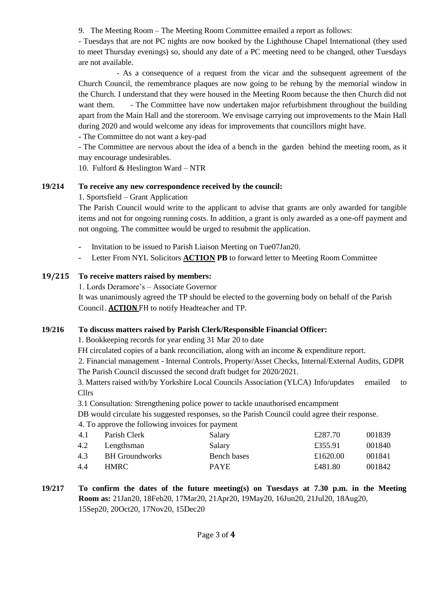9. The Meeting Room – The Meeting Room Committee emailed a report as follows:

- Tuesdays that are not PC nights are now booked by the Lighthouse Chapel International (they used to meet Thursday evenings) so, should any date of a PC meeting need to be changed, other Tuesdays are not available.

 - As a consequence of a request from the vicar and the subsequent agreement of the Church Council, the remembrance plaques are now going to be rehung by the memorial window in the Church. I understand that they were housed in the Meeting Room because the then Church did not want them. - The Committee have now undertaken major refurbishment throughout the building apart from the Main Hall and the storeroom. We envisage carrying out improvements to the Main Hall during 2020 and would welcome any ideas for improvements that councillors might have.

- The Committee do not want a key-pad

- The Committee are nervous about the idea of a bench in the garden behind the meeting room, as it may encourage undesirables.

10. Fulford  $&$  Heslington Ward – NTR

#### **19/214 To receive any new correspondence received by the council:**

1. Sportsfield – Grant Application

The Parish Council would write to the applicant to advise that grants are only awarded for tangible items and not for ongoing running costs. In addition, a grant is only awarded as a one-off payment and not ongoing. The committee would be urged to resubmit the application.

- **-** Invitation to be issued to Parish Liaison Meeting on Tue07Jan20.
- **-** Letter From NYL Solicitors **ACTION PB** to forward letter to Meeting Room Committee

#### **19/215 To receive matters raised by members:**

1. Lords Deramore's – Associate Governor

It was unanimously agreed the TP should be elected to the governing body on behalf of the Parish Council. **ACTION** FH to notify Headteacher and TP.

## **19/216 To discuss matters raised by Parish Clerk/Responsible Financial Officer:**

1. Bookkeeping records for year ending 31 Mar 20 to date

FH circulated copies of a bank reconciliation, along with an income & expenditure report.

2. Financial management - Internal Controls, Property/Asset Checks, Internal/External Audits, GDPR The Parish Council discussed the second draft budget for 2020/2021.

3. Matters raised with/by Yorkshire Local Councils Association (YLCA) Info/updates emailed to Cllrs

3.1 Consultation: Strengthening police power to tackle unauthorised encampment

DB would circulate his suggested responses, so the Parish Council could agree their response.

4. To approve the following invoices for payment

| 4.1 | Parish Clerk          | Salary      | £287.70  | 001839 |
|-----|-----------------------|-------------|----------|--------|
| 4.2 | Lengthsman            | Salary      | £355.91  | 001840 |
| 4.3 | <b>BH</b> Groundworks | Bench bases | £1620.00 | 001841 |
| 4.4 | HMRC.                 | <b>PAYE</b> | £481.80  | 001842 |
|     |                       |             |          |        |

**19/217 To confirm the dates of the future meeting(s) on Tuesdays at 7.30 p.m. in the Meeting Room as:** 21Jan20, 18Feb20, 17Mar20, 21Apr20, 19May20, 16Jun20, 21Jul20, 18Aug20, 15Sep20, 20Oct20, 17Nov20, 15Dec20